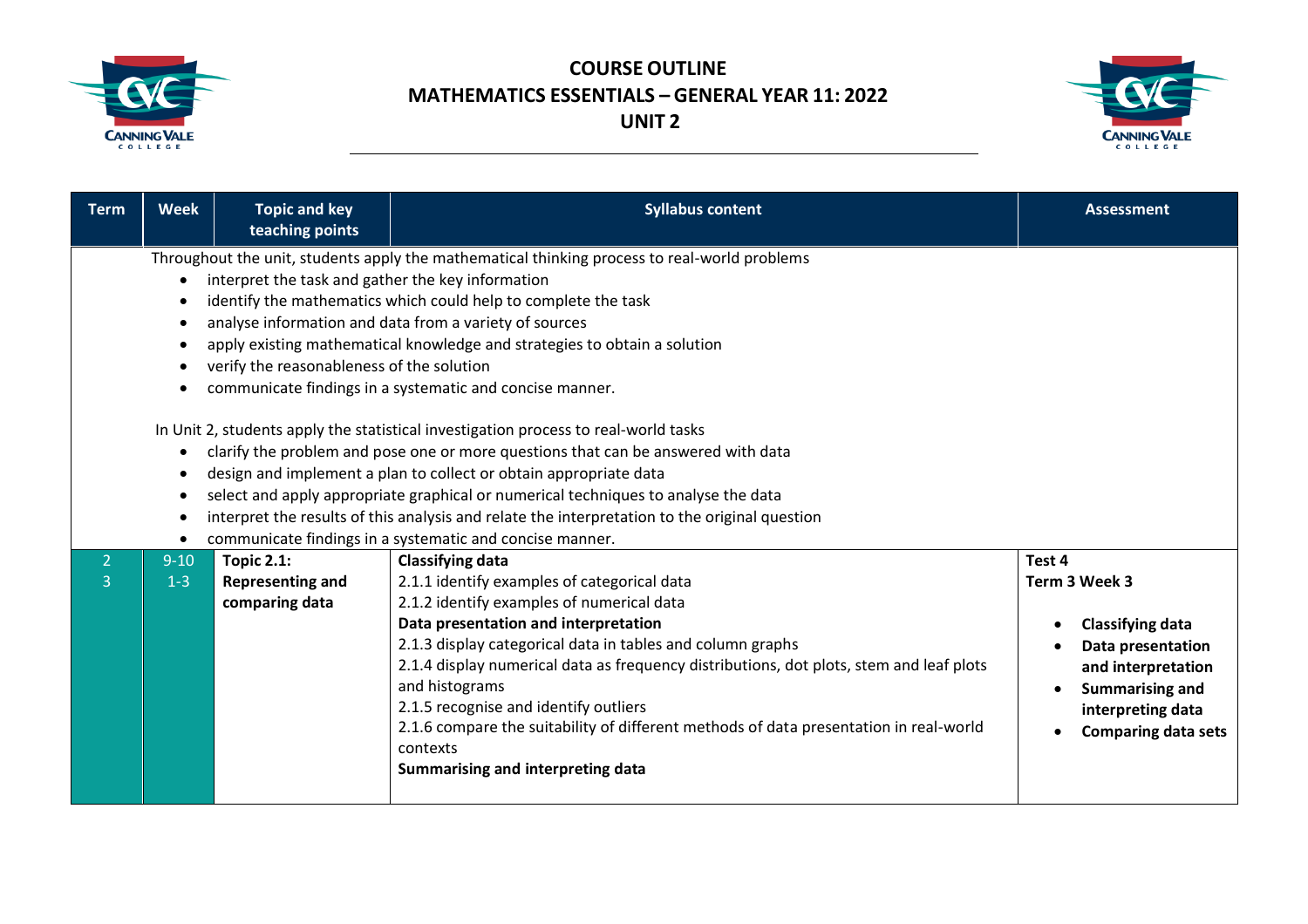



| <b>Term</b>         | <b>Week</b>       | <b>Topic and key</b><br>teaching points                                                        | <b>Syllabus content</b>                                                                                                                                                                                                                                                                                                                                                                                                                                                                                                                                                                                                                                                                                                                                                                                                                                               | <b>Assessment</b>                                                                                                                                                          |
|---------------------|-------------------|------------------------------------------------------------------------------------------------|-----------------------------------------------------------------------------------------------------------------------------------------------------------------------------------------------------------------------------------------------------------------------------------------------------------------------------------------------------------------------------------------------------------------------------------------------------------------------------------------------------------------------------------------------------------------------------------------------------------------------------------------------------------------------------------------------------------------------------------------------------------------------------------------------------------------------------------------------------------------------|----------------------------------------------------------------------------------------------------------------------------------------------------------------------------|
|                     | $\bullet$<br>٠    | interpret the task and gather the key information<br>verify the reasonableness of the solution | Throughout the unit, students apply the mathematical thinking process to real-world problems<br>identify the mathematics which could help to complete the task<br>analyse information and data from a variety of sources<br>apply existing mathematical knowledge and strategies to obtain a solution<br>communicate findings in a systematic and concise manner.<br>In Unit 2, students apply the statistical investigation process to real-world tasks<br>clarify the problem and pose one or more questions that can be answered with data<br>design and implement a plan to collect or obtain appropriate data<br>select and apply appropriate graphical or numerical techniques to analyse the data<br>interpret the results of this analysis and relate the interpretation to the original question<br>communicate findings in a systematic and concise manner. |                                                                                                                                                                            |
| $\overline{2}$<br>3 | $9 - 10$<br>$1-3$ | <b>Topic 2.1:</b><br><b>Representing and</b><br>comparing data                                 | <b>Classifying data</b><br>2.1.1 identify examples of categorical data<br>2.1.2 identify examples of numerical data<br>Data presentation and interpretation<br>2.1.3 display categorical data in tables and column graphs<br>2.1.4 display numerical data as frequency distributions, dot plots, stem and leaf plots<br>and histograms<br>2.1.5 recognise and identify outliers<br>2.1.6 compare the suitability of different methods of data presentation in real-world<br>contexts<br>Summarising and interpreting data                                                                                                                                                                                                                                                                                                                                             | Test 4<br>Term 3 Week 3<br><b>Classifying data</b><br>Data presentation<br>and interpretation<br><b>Summarising and</b><br>interpreting data<br><b>Comparing data sets</b> |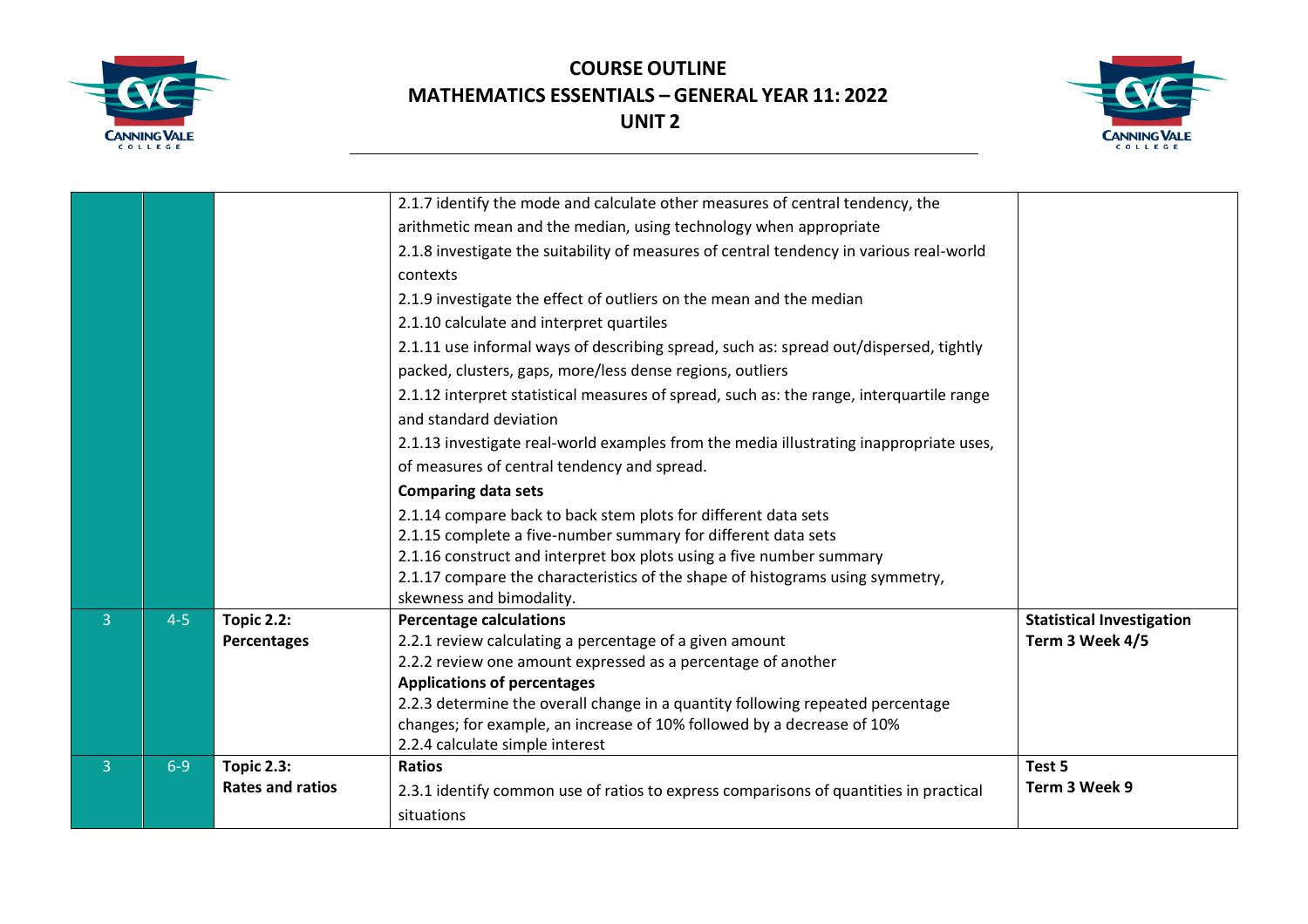



|                |         |                         | 2.1.7 identify the mode and calculate other measures of central tendency, the            |                                  |
|----------------|---------|-------------------------|------------------------------------------------------------------------------------------|----------------------------------|
|                |         |                         | arithmetic mean and the median, using technology when appropriate                        |                                  |
|                |         |                         | 2.1.8 investigate the suitability of measures of central tendency in various real-world  |                                  |
|                |         |                         | contexts                                                                                 |                                  |
|                |         |                         | 2.1.9 investigate the effect of outliers on the mean and the median                      |                                  |
|                |         |                         | 2.1.10 calculate and interpret quartiles                                                 |                                  |
|                |         |                         | 2.1.11 use informal ways of describing spread, such as: spread out/dispersed, tightly    |                                  |
|                |         |                         | packed, clusters, gaps, more/less dense regions, outliers                                |                                  |
|                |         |                         | 2.1.12 interpret statistical measures of spread, such as: the range, interquartile range |                                  |
|                |         |                         | and standard deviation                                                                   |                                  |
|                |         |                         | 2.1.13 investigate real-world examples from the media illustrating inappropriate uses,   |                                  |
|                |         |                         | of measures of central tendency and spread.                                              |                                  |
|                |         |                         | <b>Comparing data sets</b>                                                               |                                  |
|                |         |                         | 2.1.14 compare back to back stem plots for different data sets                           |                                  |
|                |         |                         | 2.1.15 complete a five-number summary for different data sets                            |                                  |
|                |         |                         | 2.1.16 construct and interpret box plots using a five number summary                     |                                  |
|                |         |                         | 2.1.17 compare the characteristics of the shape of histograms using symmetry,            |                                  |
|                |         |                         | skewness and bimodality.                                                                 |                                  |
| $\overline{3}$ | $4 - 5$ | <b>Topic 2.2:</b>       | <b>Percentage calculations</b>                                                           | <b>Statistical Investigation</b> |
|                |         | Percentages             | 2.2.1 review calculating a percentage of a given amount                                  | Term 3 Week 4/5                  |
|                |         |                         | 2.2.2 review one amount expressed as a percentage of another                             |                                  |
|                |         |                         | <b>Applications of percentages</b>                                                       |                                  |
|                |         |                         | 2.2.3 determine the overall change in a quantity following repeated percentage           |                                  |
|                |         |                         | changes; for example, an increase of 10% followed by a decrease of 10%                   |                                  |
|                |         |                         | 2.2.4 calculate simple interest                                                          |                                  |
| $\overline{3}$ | $6 - 9$ | <b>Topic 2.3:</b>       | <b>Ratios</b>                                                                            | Test 5                           |
|                |         | <b>Rates and ratios</b> | 2.3.1 identify common use of ratios to express comparisons of quantities in practical    | Term 3 Week 9                    |
|                |         |                         | situations                                                                               |                                  |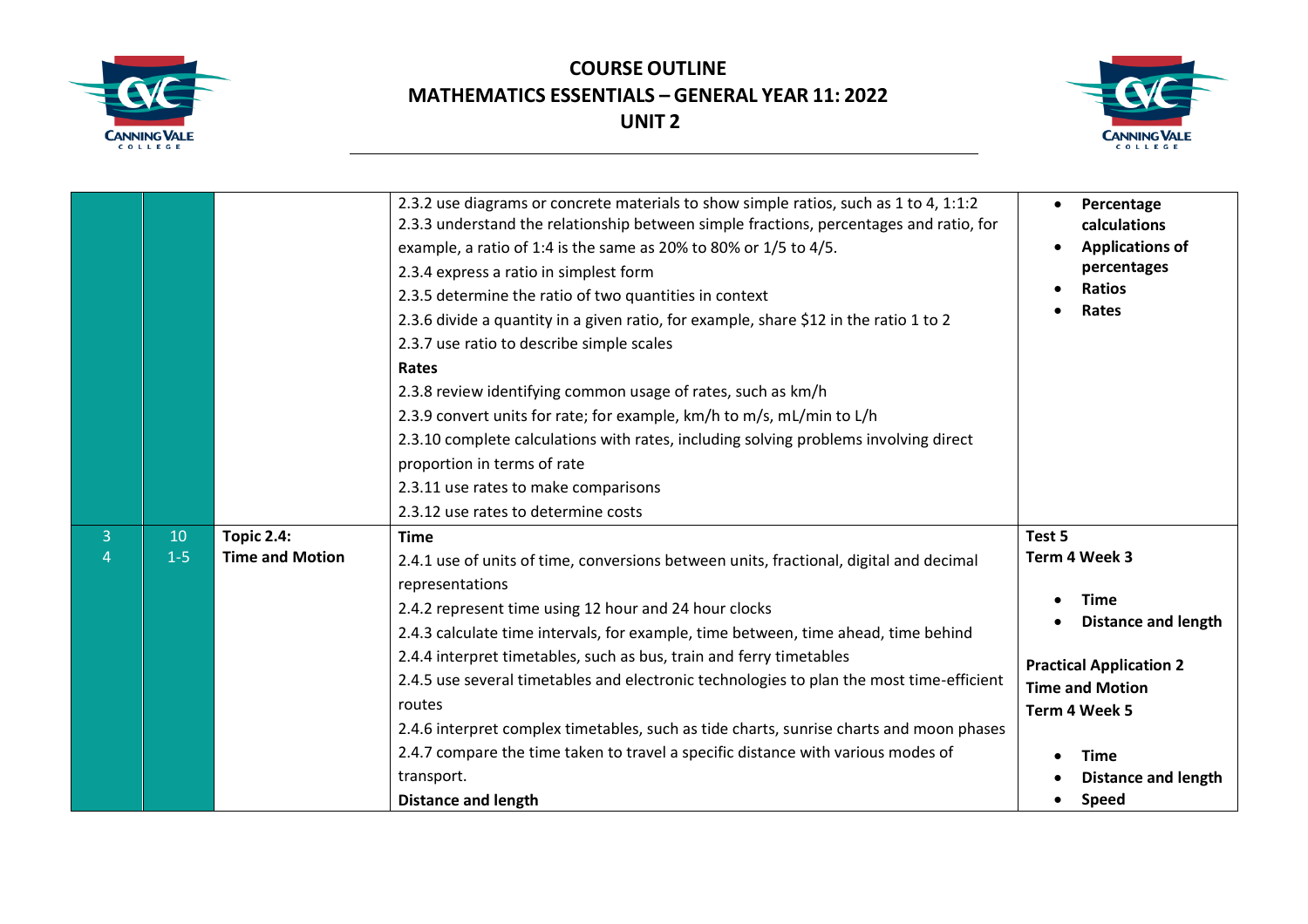



|                     |               |                                             | 2.3.2 use diagrams or concrete materials to show simple ratios, such as 1 to 4, 1:1:2<br>2.3.3 understand the relationship between simple fractions, percentages and ratio, for<br>example, a ratio of 1:4 is the same as 20% to 80% or 1/5 to 4/5.<br>2.3.4 express a ratio in simplest form<br>2.3.5 determine the ratio of two quantities in context<br>2.3.6 divide a quantity in a given ratio, for example, share \$12 in the ratio 1 to 2<br>2.3.7 use ratio to describe simple scales<br>Rates<br>2.3.8 review identifying common usage of rates, such as km/h<br>2.3.9 convert units for rate; for example, km/h to m/s, mL/min to L/h<br>2.3.10 complete calculations with rates, including solving problems involving direct<br>proportion in terms of rate<br>2.3.11 use rates to make comparisons<br>2.3.12 use rates to determine costs | Percentage<br>calculations<br><b>Applications of</b><br>percentages<br><b>Ratios</b><br>Rates                                                                                                                  |
|---------------------|---------------|---------------------------------------------|-------------------------------------------------------------------------------------------------------------------------------------------------------------------------------------------------------------------------------------------------------------------------------------------------------------------------------------------------------------------------------------------------------------------------------------------------------------------------------------------------------------------------------------------------------------------------------------------------------------------------------------------------------------------------------------------------------------------------------------------------------------------------------------------------------------------------------------------------------|----------------------------------------------------------------------------------------------------------------------------------------------------------------------------------------------------------------|
| 3<br>$\overline{4}$ | 10<br>$1 - 5$ | <b>Topic 2.4:</b><br><b>Time and Motion</b> | <b>Time</b><br>2.4.1 use of units of time, conversions between units, fractional, digital and decimal<br>representations<br>2.4.2 represent time using 12 hour and 24 hour clocks<br>2.4.3 calculate time intervals, for example, time between, time ahead, time behind<br>2.4.4 interpret timetables, such as bus, train and ferry timetables<br>2.4.5 use several timetables and electronic technologies to plan the most time-efficient<br>routes<br>2.4.6 interpret complex timetables, such as tide charts, sunrise charts and moon phases<br>2.4.7 compare the time taken to travel a specific distance with various modes of<br>transport.<br><b>Distance and length</b>                                                                                                                                                                       | Test 5<br>Term 4 Week 3<br><b>Time</b><br><b>Distance and length</b><br><b>Practical Application 2</b><br><b>Time and Motion</b><br>Term 4 Week 5<br><b>Time</b><br><b>Distance and length</b><br><b>Speed</b> |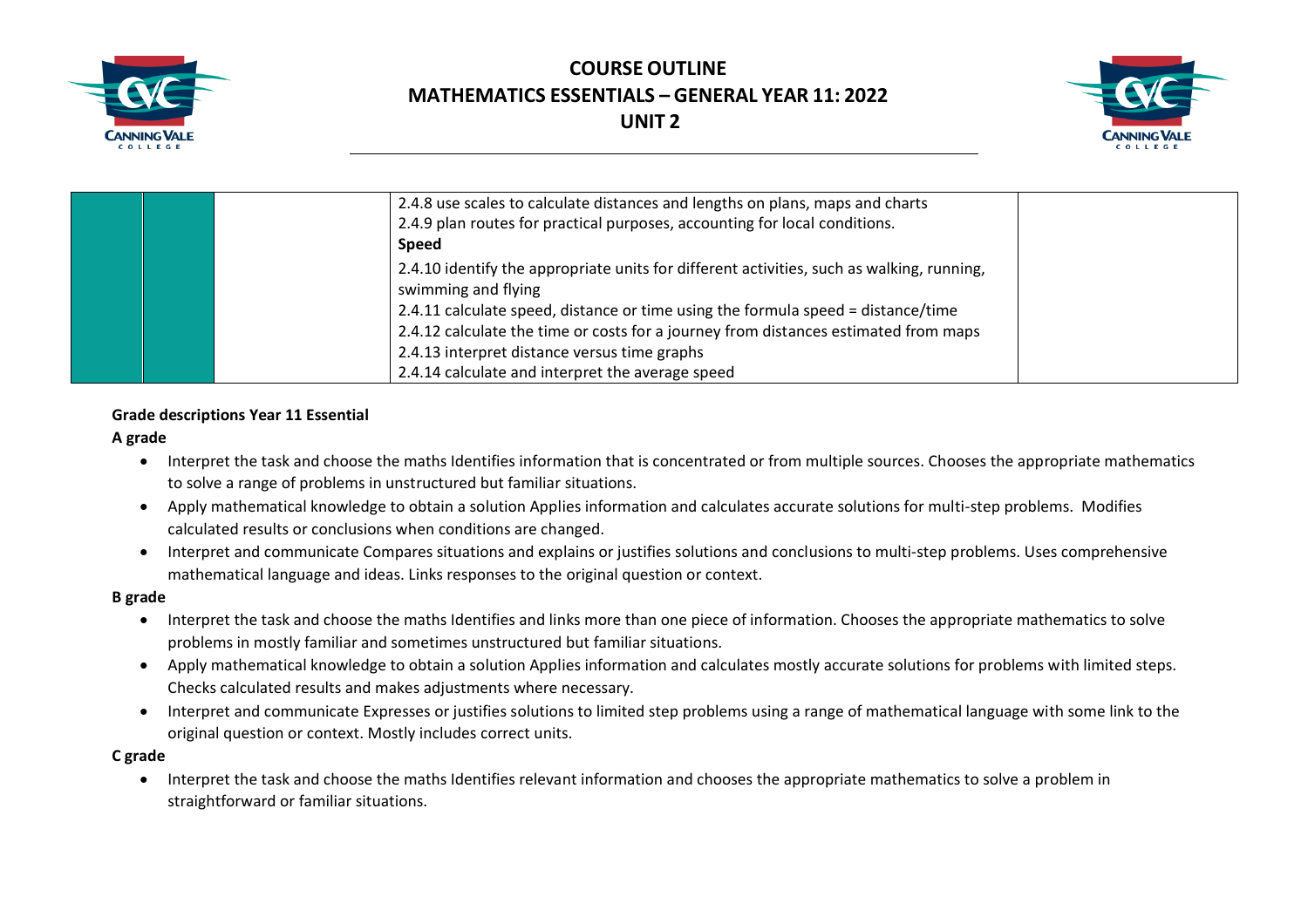



|  | 2.4.8 use scales to calculate distances and lengths on plans, maps and charts<br>2.4.9 plan routes for practical purposes, accounting for local conditions.<br><b>Speed</b>                                             |  |
|--|-------------------------------------------------------------------------------------------------------------------------------------------------------------------------------------------------------------------------|--|
|  | 2.4.10 identify the appropriate units for different activities, such as walking, running,<br>swimming and flying                                                                                                        |  |
|  | 2.4.11 calculate speed, distance or time using the formula speed = distance/time<br>2.4.12 calculate the time or costs for a journey from distances estimated from maps<br>2.4.13 interpret distance versus time graphs |  |
|  | 2.4.14 calculate and interpret the average speed                                                                                                                                                                        |  |

#### **Grade descriptions Year 11 Essential**

#### **A grade**

- Interpret the task and choose the maths Identifies information that is concentrated or from multiple sources. Chooses the appropriate mathematics to solve a range of problems in unstructured but familiar situations.
- Apply mathematical knowledge to obtain a solution Applies information and calculates accurate solutions for multi-step problems. Modifies calculated results or conclusions when conditions are changed.
- Interpret and communicate Compares situations and explains or justifies solutions and conclusions to multi-step problems. Uses comprehensive mathematical language and ideas. Links responses to the original question or context.

#### **B grade**

- Interpret the task and choose the maths Identifies and links more than one piece of information. Chooses the appropriate mathematics to solve problems in mostly familiar and sometimes unstructured but familiar situations.
- Apply mathematical knowledge to obtain a solution Applies information and calculates mostly accurate solutions for problems with limited steps. Checks calculated results and makes adjustments where necessary.
- Interpret and communicate Expresses or justifies solutions to limited step problems using a range of mathematical language with some link to the original question or context. Mostly includes correct units.

#### **C grade**

• Interpret the task and choose the maths Identifies relevant information and chooses the appropriate mathematics to solve a problem in straightforward or familiar situations.